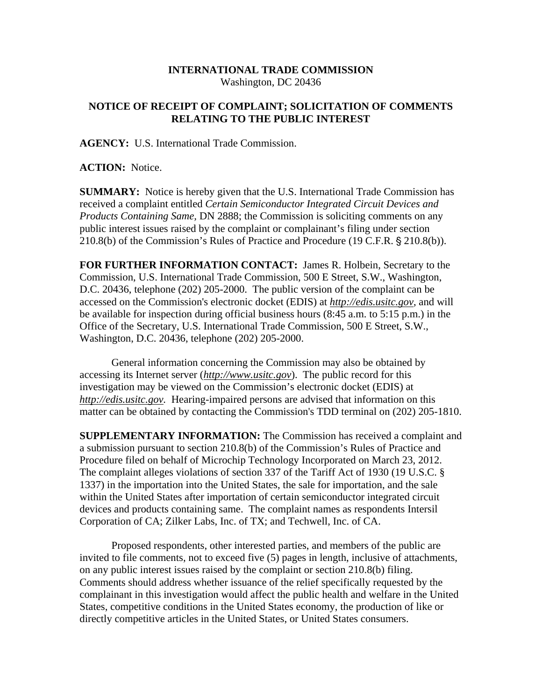## **INTERNATIONAL TRADE COMMISSION**  Washington, DC 20436

## **NOTICE OF RECEIPT OF COMPLAINT; SOLICITATION OF COMMENTS RELATING TO THE PUBLIC INTEREST**

**AGENCY:** U.S. International Trade Commission.

**ACTION:** Notice.

**SUMMARY:** Notice is hereby given that the U.S. International Trade Commission has received a complaint entitled *Certain Semiconductor Integrated Circuit Devices and Products Containing Same,* DN 2888; the Commission is soliciting comments on any public interest issues raised by the complaint or complainant's filing under section  $210.8(b)$  of the Commission's Rules of Practice and Procedure (19 C.F.R.  $\S 210.8(b)$ ).

**FOR FURTHER INFORMATION CONTACT:** James R. Holbein, Secretary to the Commission, U.S. International Trade Commission, 500 E Street, S.W., Washington, D.C. 20436, telephone (202) 205-2000. The public version of the complaint can be accessed on the Commission's electronic docket (EDIS) at *http://edis.usitc.gov*, and will be available for inspection during official business hours (8:45 a.m. to 5:15 p.m.) in the Office of the Secretary, U.S. International Trade Commission, 500 E Street, S.W., Washington, D.C. 20436, telephone (202) 205-2000.

General information concerning the Commission may also be obtained by accessing its Internet server (*http://www.usitc.gov*). The public record for this investigation may be viewed on the Commission's electronic docket (EDIS) at *http://edis.usitc.gov.* Hearing-impaired persons are advised that information on this matter can be obtained by contacting the Commission's TDD terminal on (202) 205-1810.

**SUPPLEMENTARY INFORMATION:** The Commission has received a complaint and a submission pursuant to section 210.8(b) of the Commission's Rules of Practice and Procedure filed on behalf of Microchip Technology Incorporated on March 23, 2012. The complaint alleges violations of section 337 of the Tariff Act of 1930 (19 U.S.C. § 1337) in the importation into the United States, the sale for importation, and the sale within the United States after importation of certain semiconductor integrated circuit devices and products containing same. The complaint names as respondents Intersil Corporation of CA; Zilker Labs, Inc. of TX; and Techwell, Inc. of CA.

Proposed respondents, other interested parties, and members of the public are invited to file comments, not to exceed five (5) pages in length, inclusive of attachments, on any public interest issues raised by the complaint or section 210.8(b) filing. Comments should address whether issuance of the relief specifically requested by the complainant in this investigation would affect the public health and welfare in the United States, competitive conditions in the United States economy, the production of like or directly competitive articles in the United States, or United States consumers.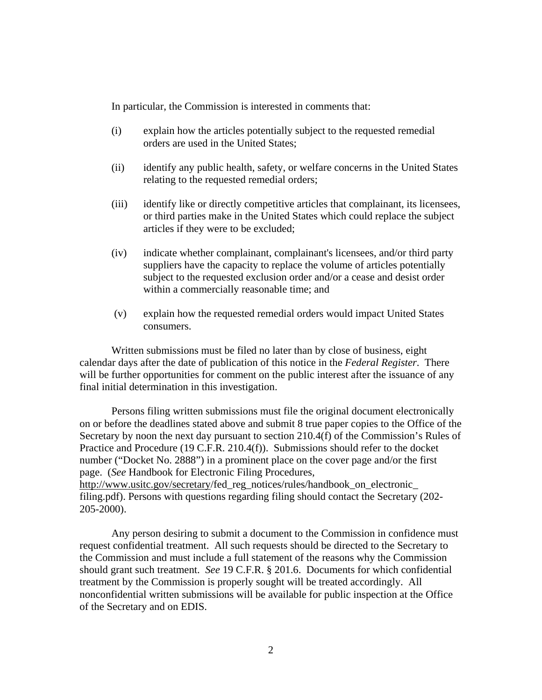In particular, the Commission is interested in comments that:

- (i) explain how the articles potentially subject to the requested remedial orders are used in the United States;
- (ii) identify any public health, safety, or welfare concerns in the United States relating to the requested remedial orders;
- (iii) identify like or directly competitive articles that complainant, its licensees, or third parties make in the United States which could replace the subject articles if they were to be excluded;
- (iv) indicate whether complainant, complainant's licensees, and/or third party suppliers have the capacity to replace the volume of articles potentially subject to the requested exclusion order and/or a cease and desist order within a commercially reasonable time; and
- (v) explain how the requested remedial orders would impact United States consumers.

Written submissions must be filed no later than by close of business, eight calendar days after the date of publication of this notice in the *Federal Register*. There will be further opportunities for comment on the public interest after the issuance of any final initial determination in this investigation.

Persons filing written submissions must file the original document electronically on or before the deadlines stated above and submit 8 true paper copies to the Office of the Secretary by noon the next day pursuant to section 210.4(f) of the Commission's Rules of Practice and Procedure (19 C.F.R. 210.4(f)). Submissions should refer to the docket number ("Docket No. 2888") in a prominent place on the cover page and/or the first page. (*See* Handbook for Electronic Filing Procedures, http://www.usitc.gov/secretary/fed\_reg\_notices/rules/handbook\_on\_electronic\_ filing.pdf). Persons with questions regarding filing should contact the Secretary (202-

205-2000).

Any person desiring to submit a document to the Commission in confidence must request confidential treatment. All such requests should be directed to the Secretary to the Commission and must include a full statement of the reasons why the Commission should grant such treatment. *See* 19 C.F.R. § 201.6. Documents for which confidential treatment by the Commission is properly sought will be treated accordingly. All nonconfidential written submissions will be available for public inspection at the Office of the Secretary and on EDIS.